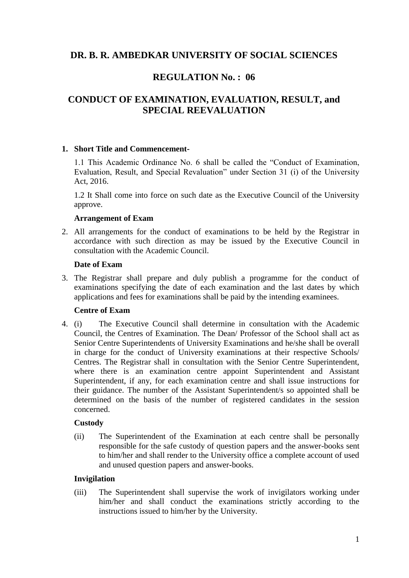# **DR. B. R. AMBEDKAR UNIVERSITY OF SOCIAL SCIENCES**

# **REGULATION No. : 06**

# **CONDUCT OF EXAMINATION, EVALUATION, RESULT, and SPECIAL REEVALUATION**

## **1. Short Title and Commencement-**

1.1 This Academic Ordinance No. 6 shall be called the "Conduct of Examination, Evaluation, Result, and Special Revaluation" under Section 31 (i) of the University Act, 2016.

1.2 It Shall come into force on such date as the Executive Council of the University approve.

## **Arrangement of Exam**

2. All arrangements for the conduct of examinations to be held by the Registrar in accordance with such direction as may be issued by the Executive Council in consultation with the Academic Council.

## **Date of Exam**

3. The Registrar shall prepare and duly publish a programme for the conduct of examinations specifying the date of each examination and the last dates by which applications and fees for examinations shall be paid by the intending examinees.

## **Centre of Exam**

4. (i) The Executive Council shall determine in consultation with the Academic Council, the Centres of Examination. The Dean/ Professor of the School shall act as Senior Centre Superintendents of University Examinations and he/she shall be overall in charge for the conduct of University examinations at their respective Schools/ Centres. The Registrar shall in consultation with the Senior Centre Superintendent, where there is an examination centre appoint Superintendent and Assistant Superintendent, if any, for each examination centre and shall issue instructions for their guidance. The number of the Assistant Superintendent/s so appointed shall be determined on the basis of the number of registered candidates in the session concerned.

## **Custody**

(ii) The Superintendent of the Examination at each centre shall be personally responsible for the safe custody of question papers and the answer-books sent to him/her and shall render to the University office a complete account of used and unused question papers and answer-books.

## **Invigilation**

(iii) The Superintendent shall supervise the work of invigilators working under him/her and shall conduct the examinations strictly according to the instructions issued to him/her by the University.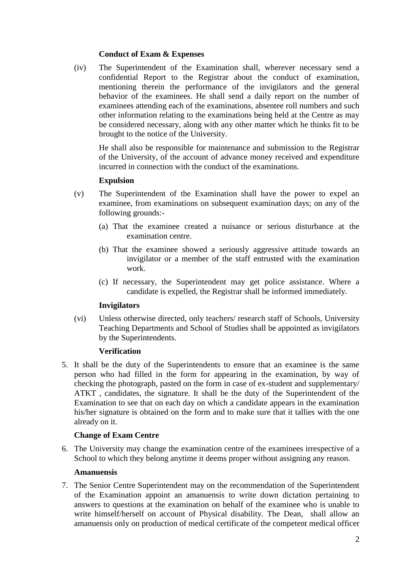## **Conduct of Exam & Expenses**

(iv) The Superintendent of the Examination shall, wherever necessary send a confidential Report to the Registrar about the conduct of examination, mentioning therein the performance of the invigilators and the general behavior of the examinees. He shall send a daily report on the number of examinees attending each of the examinations, absentee roll numbers and such other information relating to the examinations being held at the Centre as may be considered necessary, along with any other matter which he thinks fit to be brought to the notice of the University.

He shall also be responsible for maintenance and submission to the Registrar of the University, of the account of advance money received and expenditure incurred in connection with the conduct of the examinations.

## **Expulsion**

- (v) The Superintendent of the Examination shall have the power to expel an examinee, from examinations on subsequent examination days; on any of the following grounds:-
	- (a) That the examinee created a nuisance or serious disturbance at the examination centre.
	- (b) That the examinee showed a seriously aggressive attitude towards an invigilator or a member of the staff entrusted with the examination work.
	- (c) If necessary, the Superintendent may get police assistance. Where a candidate is expelled, the Registrar shall be informed immediately.

#### **Invigilators**

(vi) Unless otherwise directed, only teachers/ research staff of Schools, University Teaching Departments and School of Studies shall be appointed as invigilators by the Superintendents.

## **Verification**

5. It shall be the duty of the Superintendents to ensure that an examinee is the same person who had filled in the form for appearing in the examination, by way of checking the photograph, pasted on the form in case of ex-student and supplementary/ ATKT , candidates, the signature. It shall be the duty of the Superintendent of the Examination to see that on each day on which a candidate appears in the examination his/her signature is obtained on the form and to make sure that it tallies with the one already on it.

#### **Change of Exam Centre**

6. The University may change the examination centre of the examinees irrespective of a School to which they belong anytime it deems proper without assigning any reason.

#### **Amanuensis**

7. The Senior Centre Superintendent may on the recommendation of the Superintendent of the Examination appoint an amanuensis to write down dictation pertaining to answers to questions at the examination on behalf of the examinee who is unable to write himself/herself on account of Physical disability. The Dean, shall allow an amanuensis only on production of medical certificate of the competent medical officer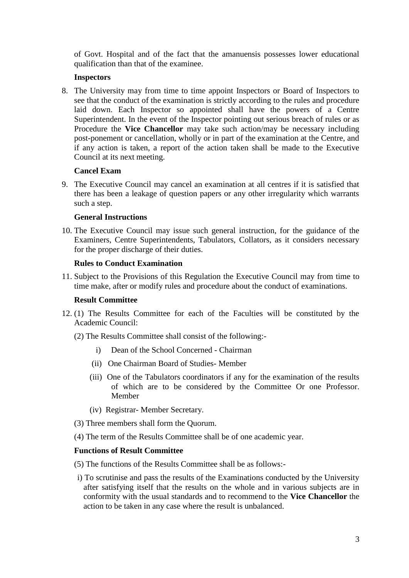of Govt. Hospital and of the fact that the amanuensis possesses lower educational qualification than that of the examinee.

## **Inspectors**

8. The University may from time to time appoint Inspectors or Board of Inspectors to see that the conduct of the examination is strictly according to the rules and procedure laid down. Each Inspector so appointed shall have the powers of a Centre Superintendent. In the event of the Inspector pointing out serious breach of rules or as Procedure the **Vice Chancellor** may take such action/may be necessary including post-ponement or cancellation, wholly or in part of the examination at the Centre, and if any action is taken, a report of the action taken shall be made to the Executive Council at its next meeting.

## **Cancel Exam**

9. The Executive Council may cancel an examination at all centres if it is satisfied that there has been a leakage of question papers or any other irregularity which warrants such a step.

## **General Instructions**

10. The Executive Council may issue such general instruction, for the guidance of the Examiners, Centre Superintendents, Tabulators, Collators, as it considers necessary for the proper discharge of their duties.

## **Rules to Conduct Examination**

11. Subject to the Provisions of this Regulation the Executive Council may from time to time make, after or modify rules and procedure about the conduct of examinations.

## **Result Committee**

- 12. (1) The Results Committee for each of the Faculties will be constituted by the Academic Council:
	- (2) The Results Committee shall consist of the following:
		- i) Dean of the School Concerned Chairman
		- (ii) One Chairman Board of Studies- Member
		- (iii) One of the Tabulators coordinators if any for the examination of the results of which are to be considered by the Committee Or one Professor. Member
		- (iv) Registrar- Member Secretary.
	- (3) Three members shall form the Quorum.
	- (4) The term of the Results Committee shall be of one academic year.

## **Functions of Result Committee**

- (5) The functions of the Results Committee shall be as follows:-
- i) To scrutinise and pass the results of the Examinations conducted by the University after satisfying itself that the results on the whole and in various subjects are in conformity with the usual standards and to recommend to the **Vice Chancellor** the action to be taken in any case where the result is unbalanced.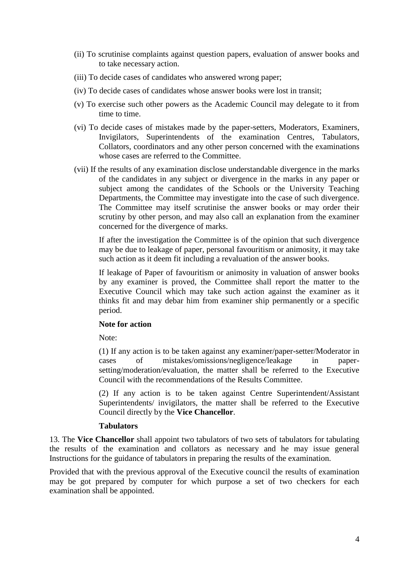- (ii) To scrutinise complaints against question papers, evaluation of answer books and to take necessary action.
- (iii) To decide cases of candidates who answered wrong paper;
- (iv) To decide cases of candidates whose answer books were lost in transit;
- (v) To exercise such other powers as the Academic Council may delegate to it from time to time.
- (vi) To decide cases of mistakes made by the paper-setters, Moderators, Examiners, Invigilators, Superintendents of the examination Centres, Tabulators, Collators, coordinators and any other person concerned with the examinations whose cases are referred to the Committee.
- (vii) If the results of any examination disclose understandable divergence in the marks of the candidates in any subject or divergence in the marks in any paper or subject among the candidates of the Schools or the University Teaching Departments, the Committee may investigate into the case of such divergence. The Committee may itself scrutinise the answer books or may order their scrutiny by other person, and may also call an explanation from the examiner concerned for the divergence of marks.

If after the investigation the Committee is of the opinion that such divergence may be due to leakage of paper, personal favouritism or animosity, it may take such action as it deem fit including a revaluation of the answer books.

If leakage of Paper of favouritism or animosity in valuation of answer books by any examiner is proved, the Committee shall report the matter to the Executive Council which may take such action against the examiner as it thinks fit and may debar him from examiner ship permanently or a specific period.

## **Note for action**

Note:

(1) If any action is to be taken against any examiner/paper-setter/Moderator in cases of mistakes/omissions/negligence/leakage in papersetting/moderation/evaluation, the matter shall be referred to the Executive Council with the recommendations of the Results Committee.

(2) If any action is to be taken against Centre Superintendent/Assistant Superintendents/ invigilators, the matter shall be referred to the Executive Council directly by the **Vice Chancellor**.

#### **Tabulators**

13. The **Vice Chancellor** shall appoint two tabulators of two sets of tabulators for tabulating the results of the examination and collators as necessary and he may issue general Instructions for the guidance of tabulators in preparing the results of the examination.

Provided that with the previous approval of the Executive council the results of examination may be got prepared by computer for which purpose a set of two checkers for each examination shall be appointed.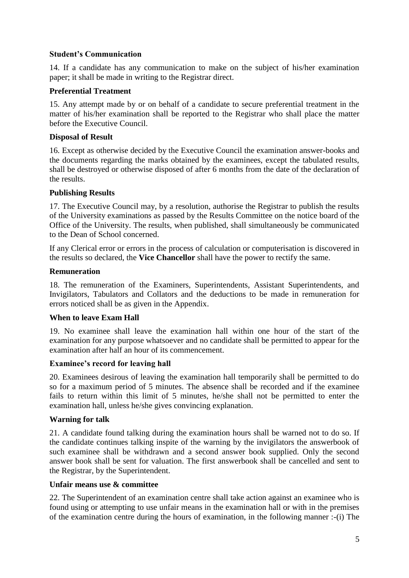## **Student's Communication**

14. If a candidate has any communication to make on the subject of his/her examination paper; it shall be made in writing to the Registrar direct.

## **Preferential Treatment**

15. Any attempt made by or on behalf of a candidate to secure preferential treatment in the matter of his/her examination shall be reported to the Registrar who shall place the matter before the Executive Council.

## **Disposal of Result**

16. Except as otherwise decided by the Executive Council the examination answer-books and the documents regarding the marks obtained by the examinees, except the tabulated results, shall be destroyed or otherwise disposed of after 6 months from the date of the declaration of the results.

## **Publishing Results**

17. The Executive Council may, by a resolution, authorise the Registrar to publish the results of the University examinations as passed by the Results Committee on the notice board of the Office of the University. The results, when published, shall simultaneously be communicated to the Dean of School concerned.

If any Clerical error or errors in the process of calculation or computerisation is discovered in the results so declared, the **Vice Chancellor** shall have the power to rectify the same.

## **Remuneration**

18. The remuneration of the Examiners, Superintendents, Assistant Superintendents, and Invigilators, Tabulators and Collators and the deductions to be made in remuneration for errors noticed shall be as given in the Appendix.

## **When to leave Exam Hall**

19. No examinee shall leave the examination hall within one hour of the start of the examination for any purpose whatsoever and no candidate shall be permitted to appear for the examination after half an hour of its commencement.

## **Examinee's record for leaving hall**

20. Examinees desirous of leaving the examination hall temporarily shall be permitted to do so for a maximum period of 5 minutes. The absence shall be recorded and if the examinee fails to return within this limit of 5 minutes, he/she shall not be permitted to enter the examination hall, unless he/she gives convincing explanation.

## **Warning for talk**

21. A candidate found talking during the examination hours shall be warned not to do so. If the candidate continues talking inspite of the warning by the invigilators the answerbook of such examinee shall be withdrawn and a second answer book supplied. Only the second answer book shall be sent for valuation. The first answerbook shall be cancelled and sent to the Registrar, by the Superintendent.

## **Unfair means use & committee**

22. The Superintendent of an examination centre shall take action against an examinee who is found using or attempting to use unfair means in the examination hall or with in the premises of the examination centre during the hours of examination, in the following manner :-(i) The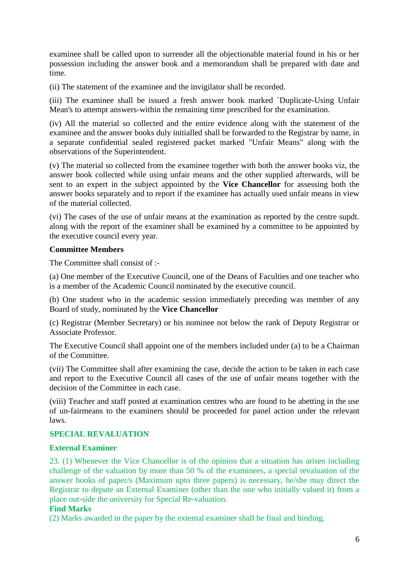examinee shall be called upon to surrender all the objectionable material found in his or her possession including the answer book and a memorandum shall be prepared with date and time.

(ii) The statement of the examinee and the invigilator shall be recorded.

(iii) The examinee shall be issued a fresh answer book marked `Duplicate-Using Unfair Mean's to attempt answers-within the remaining time prescribed for the examination.

(iv) All the material so collected and the entire evidence along with the statement of the examinee and the answer books duly initialled shall be forwarded to the Registrar by name, in a separate confidential sealed registered packet marked "Unfair Means" along with the observations of the Superintendent.

(v) The material so collected from the examinee together with both the answer books viz, the answer book collected while using unfair means and the other supplied afterwards, will be sent to an expert in the subject appointed by the **Vice Chancellor** for assessing both the answer books separately and to report if the examinee has actually used unfair means in view of the material collected.

(vi) The cases of the use of unfair means at the examination as reported by the centre supdt. along with the report of the examiner shall be examined by a committee to be appointed by the executive council every year.

## **Committee Members**

The Committee shall consist of :-

(a) One member of the Executive Council, one of the Deans of Faculties and one teacher who is a member of the Academic Council nominated by the executive council.

(b) One student who in the academic session immediately preceding was member of any Board of study, nominated by the **Vice Chancellor**

(c) Registrar (Member Secretary) or his nominee not below the rank of Deputy Registrar or Associate Professor.

The Executive Council shall appoint one of the members included under (a) to be a Chairman of the Committee.

(vii) The Committee shall after examining the case, decide the action to be taken in each case and report to the Executive Council all cases of the use of unfair means together with the decision of the Committee in each case.

(viii) Teacher and staff posted at examination centres who are found to be abetting in the use of un-fairmeans to the examiners should be proceeded for panel action under the relevant laws.

## **SPECIAL REVALUATION**

## **External Examiner**

23. (1) Whenever the Vice Chancellor is of the opinion that a situation has arisen including challenge of the valuation by more than 50 % of the examinees, a special revaluation of the answer books of paper/s (Maximum upto three papers) is necessary, he/she may direct the Registrar to depute an External Examiner (other than the one who initially valued it) from a place out-side the university for Special Re-valuation.

## **Find Marks**

(2) Marks awarded in the paper by the external examiner shall be final and binding.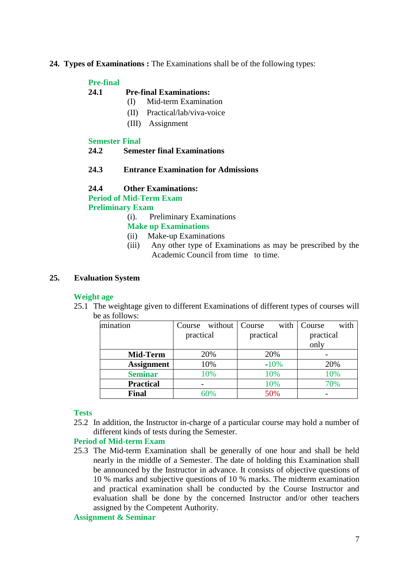## **24. Types of Examinations :** The Examinations shall be of the following types:

## **Pre-final**

#### **24.1 Pre-final Examinations:**

- (I) Mid-term Examination
- (II) Practical/lab/viva-voice
- (III) Assignment

#### **Semester Final**

#### **24.2 Semester final Examinations**

## **24.3 Entrance Examination for Admissions**

#### **24.4 Other Examinations:**

**Period of Mid-Term Exam Preliminary Exam**

(i). Preliminary Examinations

## **Make up Examinations**

- (ii) Make-up Examinations
- (iii) Any other type of Examinations as may be prescribed by the Academic Council from time to time.

## **25. Evaluation System**

## **Weight age**

25.1 The weightage given to different Examinations of different types of courses will be as follows:

| mination          |           | Course without | Course    | with   | Course    | with |
|-------------------|-----------|----------------|-----------|--------|-----------|------|
|                   | practical |                | practical |        | practical |      |
|                   |           |                |           |        | only      |      |
| Mid-Term          |           | 20%            |           | 20%    |           |      |
| <b>Assignment</b> |           | 10%            |           | $-10%$ |           | 20%  |
| <b>Seminar</b>    |           | 10%            |           | 10%    |           | 10%  |
| <b>Practical</b>  |           |                |           | 10%    |           | 70%  |
| <b>Final</b>      |           | 60%            |           | 50%    |           |      |

## **Tests**

25.2 In addition, the Instructor in-charge of a particular course may hold a number of different kinds of tests during the Semester.

## **Period of Mid-term Exam**

25.3 The Mid-term Examination shall be generally of one hour and shall be held nearly in the middle of a Semester. The date of holding this Examination shall be announced by the Instructor in advance. It consists of objective questions of 10 % marks and subjective questions of 10 % marks. The midterm examination and practical examination shall be conducted by the Course Instructor and evaluation shall be done by the concerned Instructor and/or other teachers assigned by the Competent Authority.

### **Assignment & Seminar**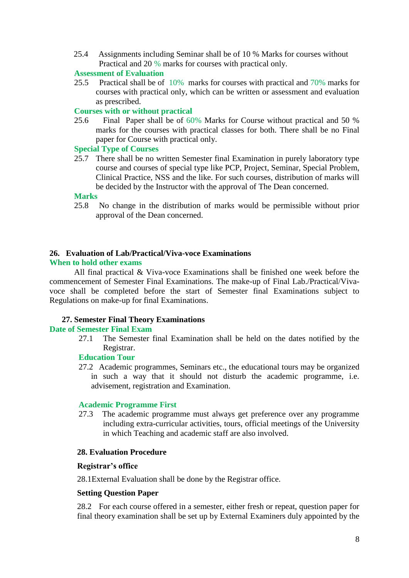25.4 Assignments including Seminar shall be of 10 % Marks for courses without Practical and 20 % marks for courses with practical only.

## **Assessment of Evaluation**

25.5 Practical shall be of 10% marks for courses with practical and 70% marks for courses with practical only, which can be written or assessment and evaluation as prescribed.

## **Courses with or without practical**

25.6 Final Paper shall be of 60% Marks for Course without practical and 50 % marks for the courses with practical classes for both. There shall be no Final paper for Course with practical only.

#### **Special Type of Courses**

25.7 There shall be no written Semester final Examination in purely laboratory type course and courses of special type like PCP, Project, Seminar, Special Problem, Clinical Practice, NSS and the like. For such courses, distribution of marks will be decided by the Instructor with the approval of The Dean concerned.

#### **Marks**

25.8 No change in the distribution of marks would be permissible without prior approval of the Dean concerned.

# **26. Evaluation of Lab/Practical/Viva-voce Examinations**

## **When to hold other exams**

All final practical & Viva-voce Examinations shall be finished one week before the commencement of Semester Final Examinations. The make-up of Final Lab./Practical/Vivavoce shall be completed before the start of Semester final Examinations subject to Regulations on make-up for final Examinations.

## **27. Semester Final Theory Examinations**

#### **Date of Semester Final Exam**

27.1 The Semester final Examination shall be held on the dates notified by the Registrar.

#### **Education Tour**

27.2 Academic programmes, Seminars etc., the educational tours may be organized in such a way that it should not disturb the academic programme, i.e. advisement, registration and Examination.

## **Academic Programme First**

27.3 The academic programme must always get preference over any programme including extra-curricular activities, tours, official meetings of the University in which Teaching and academic staff are also involved.

#### **28. Evaluation Procedure**

#### **Registrar's office**

28.1External Evaluation shall be done by the Registrar office.

#### **Setting Question Paper**

28.2 For each course offered in a semester, either fresh or repeat, question paper for final theory examination shall be set up by External Examiners duly appointed by the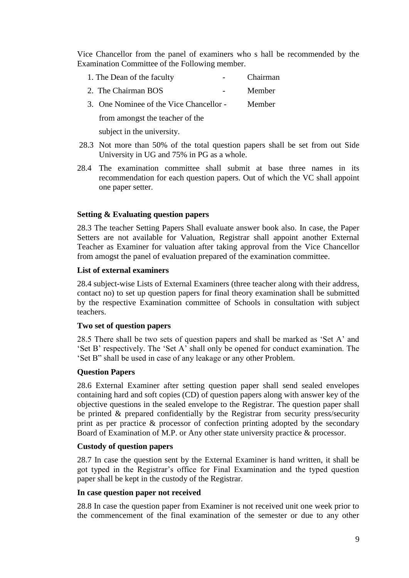Vice Chancellor from the panel of examiners who s hall be recommended by the Examination Committee of the Following member.

| 1. The Dean of the faculty | $\sim$ 100 $\mu$ | <b>Chairman</b> |
|----------------------------|------------------|-----------------|
| 2. The Chairman BOS        | $ -$             | Member          |

3. One Nominee of the Vice Chancellor - Member

from amongst the teacher of the

subject in the university.

- 28.3 Not more than 50% of the total question papers shall be set from out Side University in UG and 75% in PG as a whole.
- 28.4 The examination committee shall submit at base three names in its recommendation for each question papers. Out of which the VC shall appoint one paper setter.

## **Setting & Evaluating question papers**

28.3 The teacher Setting Papers Shall evaluate answer book also. In case, the Paper Setters are not available for Valuation, Registrar shall appoint another External Teacher as Examiner for valuation after taking approval from the Vice Chancellor from amogst the panel of evaluation prepared of the examination committee.

## **List of external examiners**

28.4 subject-wise Lists of External Examiners (three teacher along with their address, contact no) to set up question papers for final theory examination shall be submitted by the respective Examination committee of Schools in consultation with subject teachers.

## **Two set of question papers**

28.5 There shall be two sets of question papers and shall be marked as 'Set A' and 'Set B' respectively. The 'Set A' shall only be opened for conduct examination. The 'Set B" shall be used in case of any leakage or any other Problem.

## **Question Papers**

28.6 External Examiner after setting question paper shall send sealed envelopes containing hard and soft copies (CD) of question papers along with answer key of the objective questions in the sealed envelope to the Registrar. The question paper shall be printed & prepared confidentially by the Registrar from security press/security print as per practice & processor of confection printing adopted by the secondary Board of Examination of M.P. or Any other state university practice & processor.

## **Custody of question papers**

28.7 In case the question sent by the External Examiner is hand written, it shall be got typed in the Registrar's office for Final Examination and the typed question paper shall be kept in the custody of the Registrar.

## **In case question paper not received**

28.8 In case the question paper from Examiner is not received unit one week prior to the commencement of the final examination of the semester or due to any other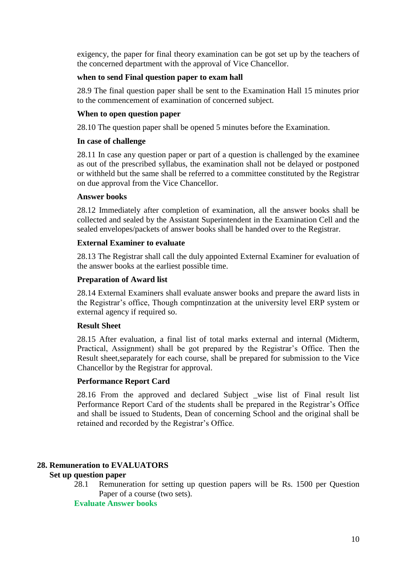exigency, the paper for final theory examination can be got set up by the teachers of the concerned department with the approval of Vice Chancellor.

## **when to send Final question paper to exam hall**

28.9 The final question paper shall be sent to the Examination Hall 15 minutes prior to the commencement of examination of concerned subject.

## **When to open question paper**

28.10 The question paper shall be opened 5 minutes before the Examination.

## **In case of challenge**

28.11 In case any question paper or part of a question is challenged by the examinee as out of the prescribed syllabus, the examination shall not be delayed or postponed or withheld but the same shall be referred to a committee constituted by the Registrar on due approval from the Vice Chancellor.

## **Answer books**

28.12 Immediately after completion of examination, all the answer books shall be collected and sealed by the Assistant Superintendent in the Examination Cell and the sealed envelopes/packets of answer books shall be handed over to the Registrar.

## **External Examiner to evaluate**

28.13 The Registrar shall call the duly appointed External Examiner for evaluation of the answer books at the earliest possible time.

## **Preparation of Award list**

28.14 External Examiners shall evaluate answer books and prepare the award lists in the Registrar's office, Though compntinzation at the university level ERP system or external agency if required so.

## **Result Sheet**

28.15 After evaluation, a final list of total marks external and internal (Midterm, Practical, Assignment) shall be got prepared by the Registrar's Office. Then the Result sheet,separately for each course, shall be prepared for submission to the Vice Chancellor by the Registrar for approval.

## **Performance Report Card**

28.16 From the approved and declared Subject \_wise list of Final result list Performance Report Card of the students shall be prepared in the Registrar's Office and shall be issued to Students, Dean of concerning School and the original shall be retained and recorded by the Registrar's Office.

# **28. Remuneration to EVALUATORS**

## **Set up question paper**

28.1 Remuneration for setting up question papers will be Rs. 1500 per Question Paper of a course (two sets).

## **Evaluate Answer books**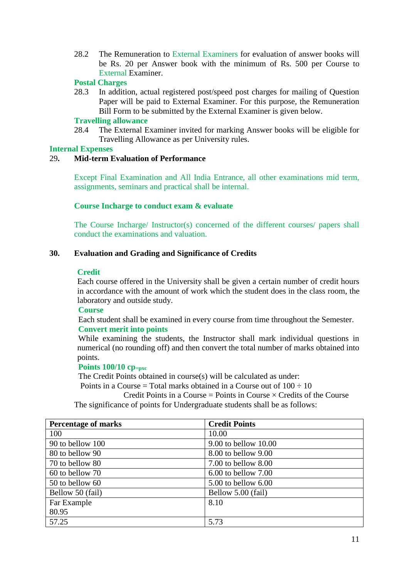28.2 The Remuneration to External Examiners for evaluation of answer books will be Rs. 20 per Answer book with the minimum of Rs. 500 per Course to External Examiner.

## **Postal Charges**

28.3 In addition, actual registered post/speed post charges for mailing of Question Paper will be paid to External Examiner. For this purpose, the Remuneration Bill Form to be submitted by the External Examiner is given below.

## **Travelling allowance**

28.4 The External Examiner invited for marking Answer books will be eligible for Travelling Allowance as per University rules.

## **Internal Expenses**

## 29**. Mid-term Evaluation of Performance**

Except Final Examination and All India Entrance, all other examinations mid term, assignments, seminars and practical shall be internal.

## **Course Incharge to conduct exam & evaluate**

The Course Incharge/ Instructor(s) concerned of the different courses/ papers shall conduct the examinations and valuation.

## **30. Evaluation and Grading and Significance of Credits**

## **Credit**

Each course offered in the University shall be given a certain number of credit hours in accordance with the amount of work which the student does in the class room, the laboratory and outside study.

**Course**

Each student shall be examined in every course from time throughout the Semester.

## **Convert merit into points**

While examining the students, the Instructor shall mark individual questions in numerical (no rounding off) and then convert the total number of marks obtained into points.

## **Points 100/10 cp=pxc**

The Credit Points obtained in course(s) will be calculated as under:

Points in a Course = Total marks obtained in a Course out of  $100 \div 10$ 

Credit Points in a Course = Points in Course  $\times$  Credits of the Course The significance of points for Undergraduate students shall be as follows:

| <b>Percentage of marks</b> | <b>Credit Points</b>     |
|----------------------------|--------------------------|
| 100                        | 10.00                    |
| 90 to bellow 100           | $9.00$ to bellow $10.00$ |
| 80 to bellow 90            | 8.00 to bellow 9.00      |
| 70 to bellow 80            | $7.00$ to bellow $8.00$  |
| 60 to bellow 70            | $6.00$ to bellow $7.00$  |
| 50 to bellow 60            | $5.00$ to bellow $6.00$  |
| Bellow 50 (fail)           | Bellow 5.00 (fail)       |
| Far Example                | 8.10                     |
| 80.95                      |                          |
| 57.25                      | 5.73                     |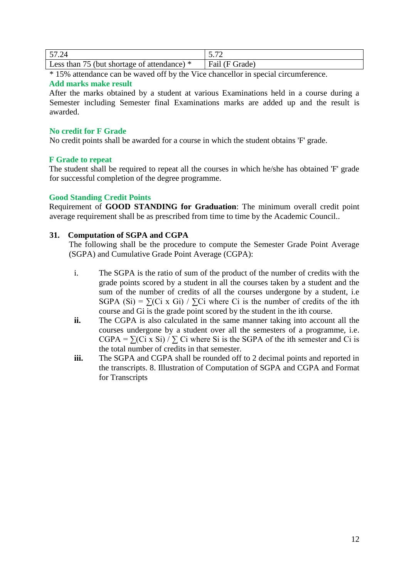| 57.24                                       |                |
|---------------------------------------------|----------------|
| Less than 75 (but shortage of attendance) * | Fail (F Grade) |

\* 15% attendance can be waved off by the Vice chancellor in special circumference.

### **Add marks make result**

After the marks obtained by a student at various Examinations held in a course during a Semester including Semester final Examinations marks are added up and the result is awarded.

## **No credit for F Grade**

No credit points shall be awarded for a course in which the student obtains 'F' grade.

## **F Grade to repeat**

The student shall be required to repeat all the courses in which he/she has obtained 'F' grade for successful completion of the degree programme.

## **Good Standing Credit Points**

Requirement of **GOOD STANDING for Graduation**: The minimum overall credit point average requirement shall be as prescribed from time to time by the Academic Council..

## **31. Computation of SGPA and CGPA**

The following shall be the procedure to compute the Semester Grade Point Average (SGPA) and Cumulative Grade Point Average (CGPA):

- i. The SGPA is the ratio of sum of the product of the number of credits with the grade points scored by a student in all the courses taken by a student and the sum of the number of credits of all the courses undergone by a student, i.e SGPA (Si) =  $\sum$ (Ci x Gi) /  $\sum$ Ci where Ci is the number of credits of the ith course and Gi is the grade point scored by the student in the ith course.
- **ii.** The CGPA is also calculated in the same manner taking into account all the courses undergone by a student over all the semesters of a programme, i.e. CGPA =  $\sum$ (Ci x Si) /  $\sum$  Ci where Si is the SGPA of the ith semester and Ci is the total number of credits in that semester.
- **iii.** The SGPA and CGPA shall be rounded off to 2 decimal points and reported in the transcripts. 8. Illustration of Computation of SGPA and CGPA and Format for Transcripts